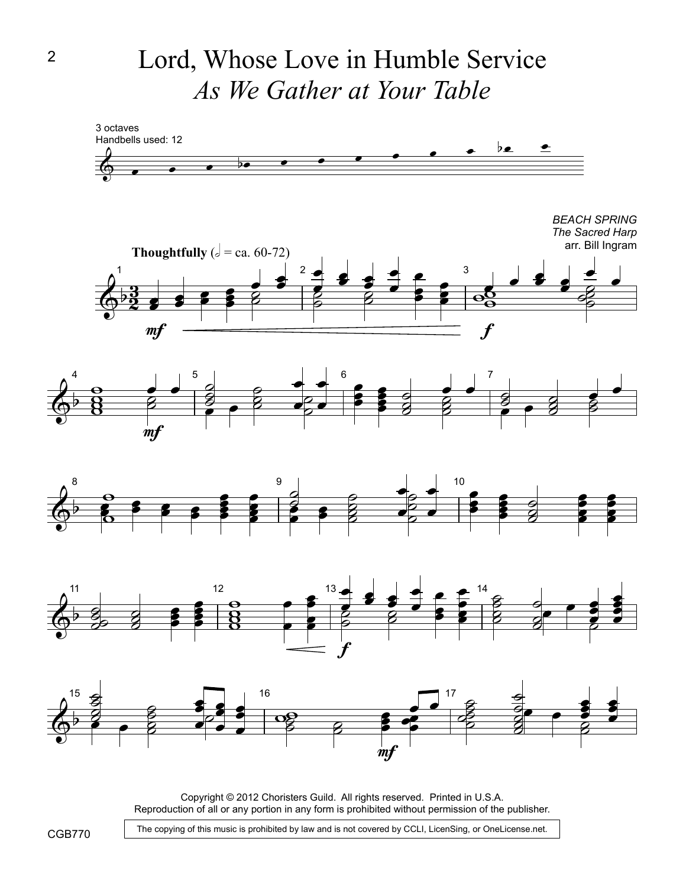Lord, Whose Love in Humble Service *As We Gather at Your Table*



Copyright © 2012 Choristers Guild. All rights reserved. Printed in U.S.A. Reproduction of all or any portion in any form is prohibited without permission of the publisher.

The copying of this music is prohibited by law and is not covered by CCLI, LicenSing, or OneLicense.net.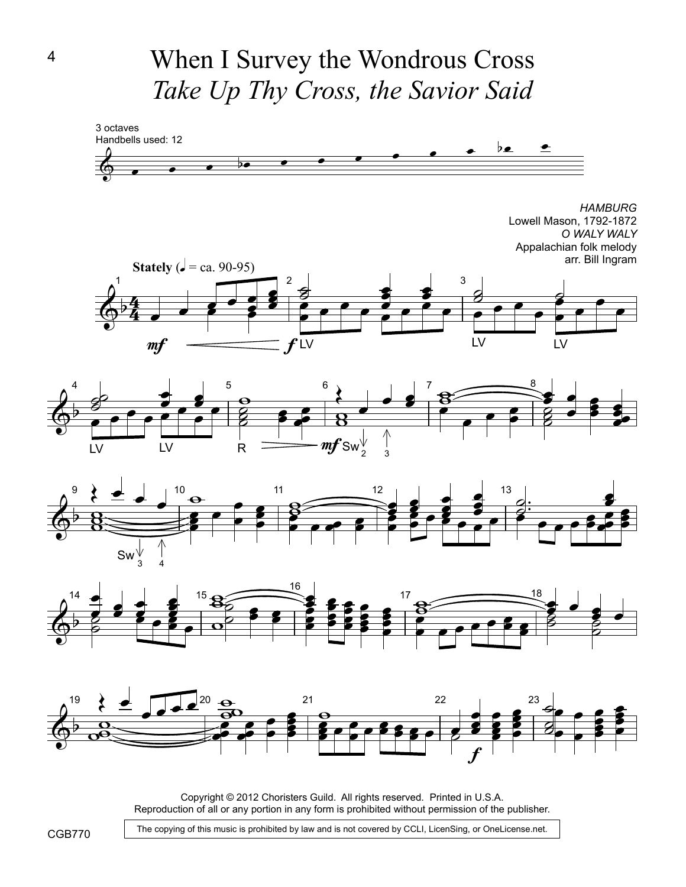When I Survey the Wondrous Cross *Take Up Thy Cross, the Savior Said*





Copyright © 2012 Choristers Guild. All rights reserved. Printed in U.S.A. Reproduction of all or any portion in any form is prohibited without permission of the publisher.

The copying of this music is prohibited by law and is not covered by CCLI, LicenSing, or OneLicense.net.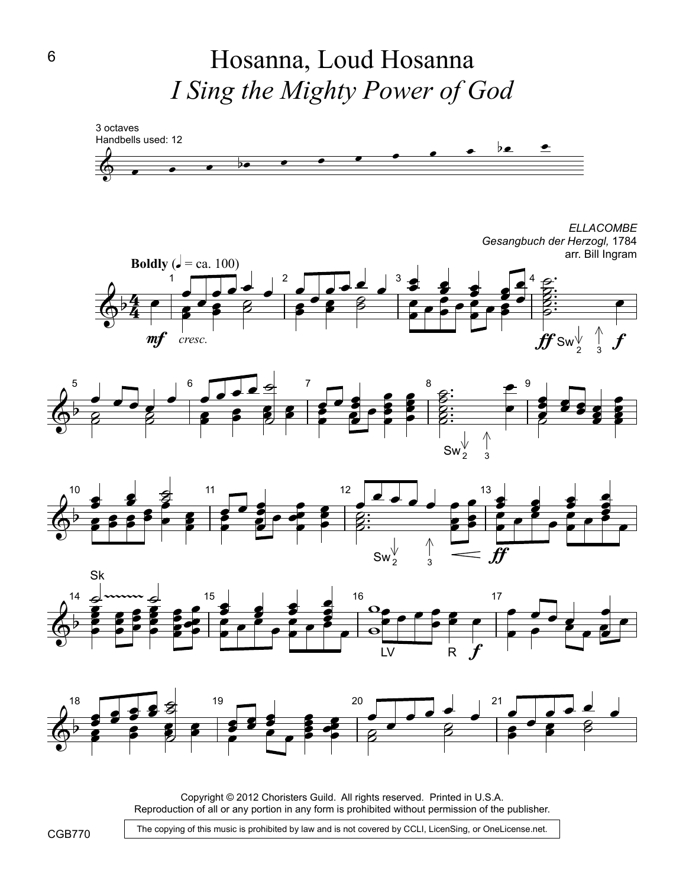Hosanna, Loud Hosanna *I Sing the Mighty Power of God*



Copyright © 2012 Choristers Guild. All rights reserved. Printed in U.S.A. Reproduction of all or any portion in any form is prohibited without permission of the publisher.

The copying of this music is prohibited by law and is not covered by CCLI, LicenSing, or OneLicense.net.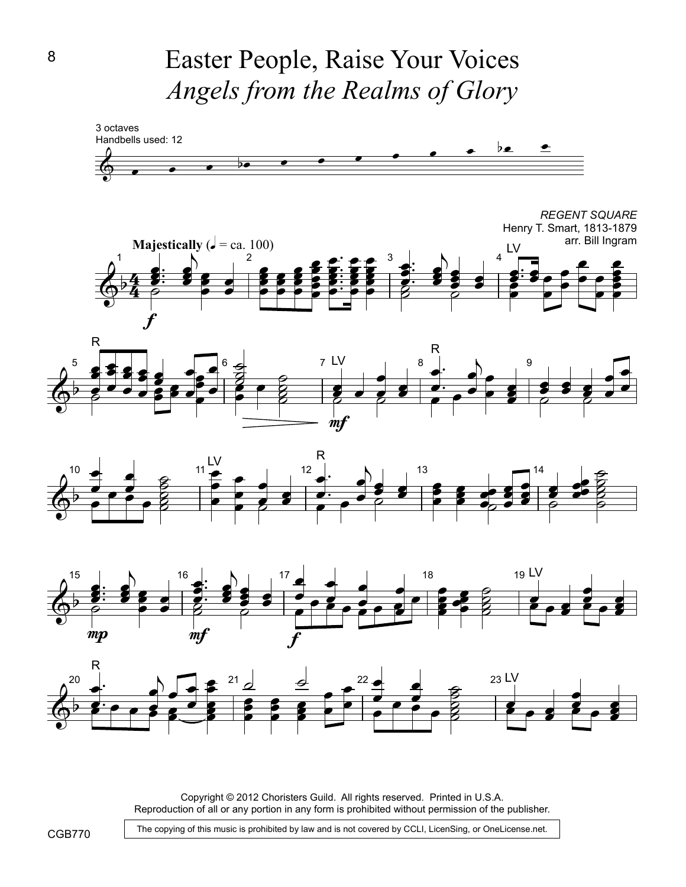Easter People, Raise Your Voices *Angels from the Realms of Glory*



Copyright © 2012 Choristers Guild. All rights reserved. Printed in U.S.A. Reproduction of all or any portion in any form is prohibited without permission of the publisher.

The copying of this music is prohibited by law and is not covered by CCLI, LicenSing, or OneLicense.net.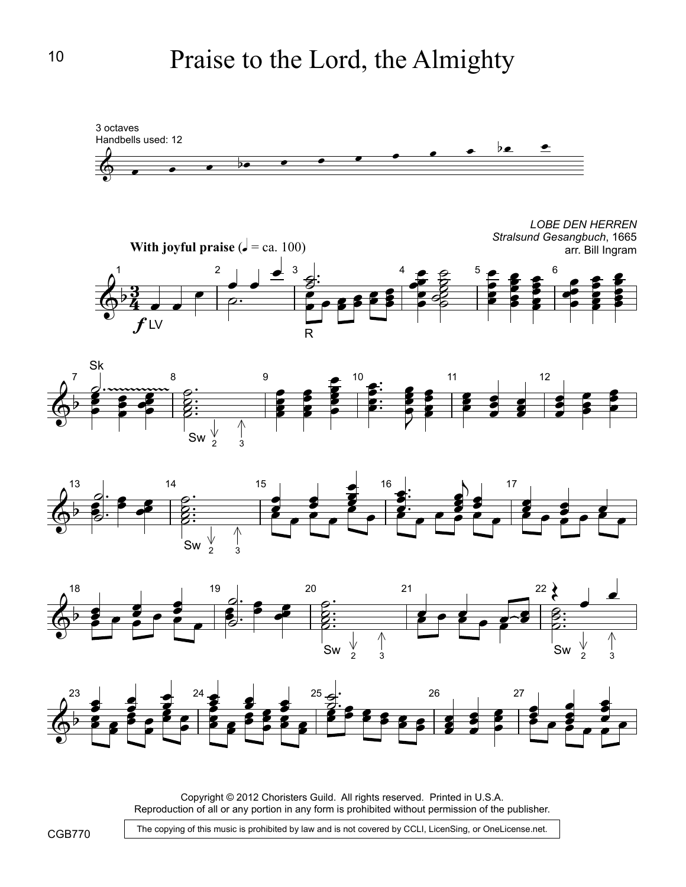





Copyright © 2012 Choristers Guild. All rights reserved. Printed in U.S.A. Reproduction of all or any portion in any form is prohibited without permission of the publisher.

The copying of this music is prohibited by law and is not covered by CCLI, LicenSing, or OneLicense.net.